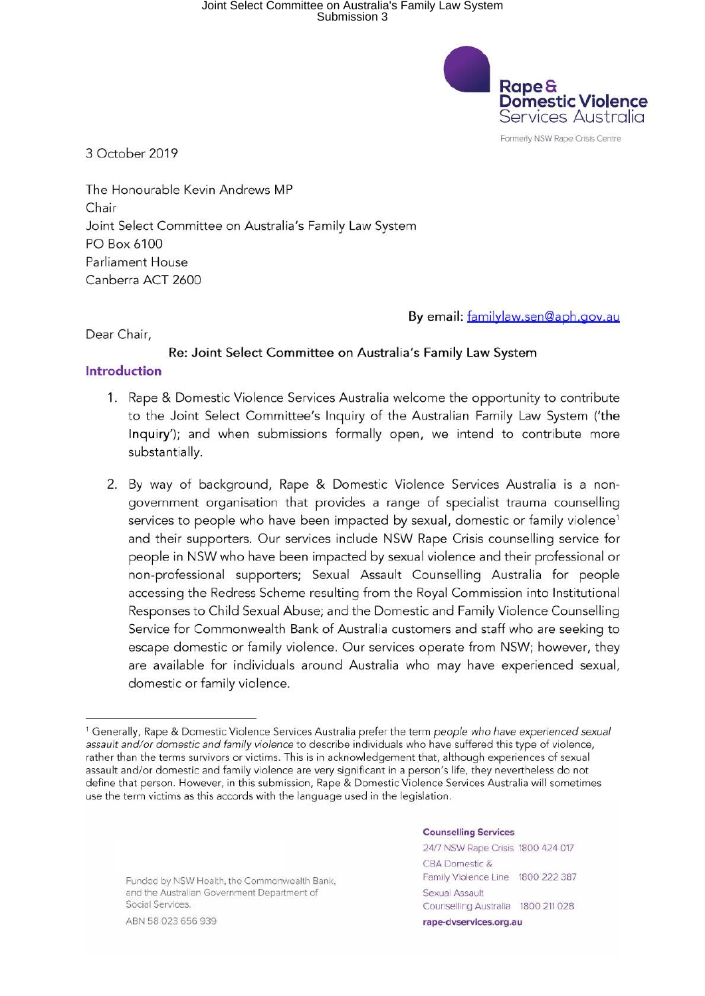# Joint Select Committee on Australia's Family Law System Submission 3



Formerly NSW Rape Crisis Centre

3 October 2019

The Honourable Kevin Andrews MP Chair Joint Select Committee on Australia's Family Law System PO Box 6100 Parliament House Canberra ACT 2600

By email: familylaw.sen@aph.gov.au

Dear Chair,

#### **Re: Joint Select** Committee on **Australia's Family Law System**

#### **Introduction**

- 1. Rape & Domestic Violence Services Australia welcome the opportunity to contribute to the Joint Select Committee's Inquiry of the Australian Family Law System ('the **Inquiry');** and when submissions formally open, we intend to contribute more substantially.
- 2. By way of background, Rape & Domestic Violence Services Australia is a nongovernment organisation that provides a range of specialist trauma counselling services to people who have been impacted by sexual, domestic or family violence<sup>1</sup> and their supporters. Our services include NSW Rape Crisis counselling service for people in NSW who have been impacted by sexual violence and their professional or non-professional supporters; Sexual Assault Counselling Australia for people accessing the Redress Scheme resulting from the Royal Commission into Institutional Responses to Child Sexual Abuse; and the Domestic and Family Violence Counselling Service for Commonwealth Bank of Australia customers and staff who are seeking to escape domestic or family violence. Our services operate from NSW; however, they are available for individuals around Australia who may have experienced sexual, domestic or family violence.

Funded by NSW Health, the Commonwealth Bank, and the Australian Government Department or Social Services.

ABN 58 023 656 939

#### **Counselling Services**

24/7 NSW Rape Crisis 1800 424 017 CBA Domestic & Family Violence Line 1800 222 387 Sexual Assault Counselling Australia 1800 211 028 **rape-dvservices.org.au** 

<sup>1</sup>Generally, Rape & Domestic Violence Services Australia prefer the term *people who have experienced sexual assault and/or domestic and family violence* to describe individuals who have suffered this type of violence, rather than the terms survivors or victims. This is in acknowledgement that, although experiences of sexual assault and/or domestic and family violence are very significant in a person's life, they nevertheless do not define that person. However, in this submission, Rape & Domestic Violence Services Australia will sometimes use the term victims as this accords with the language used in the legislation.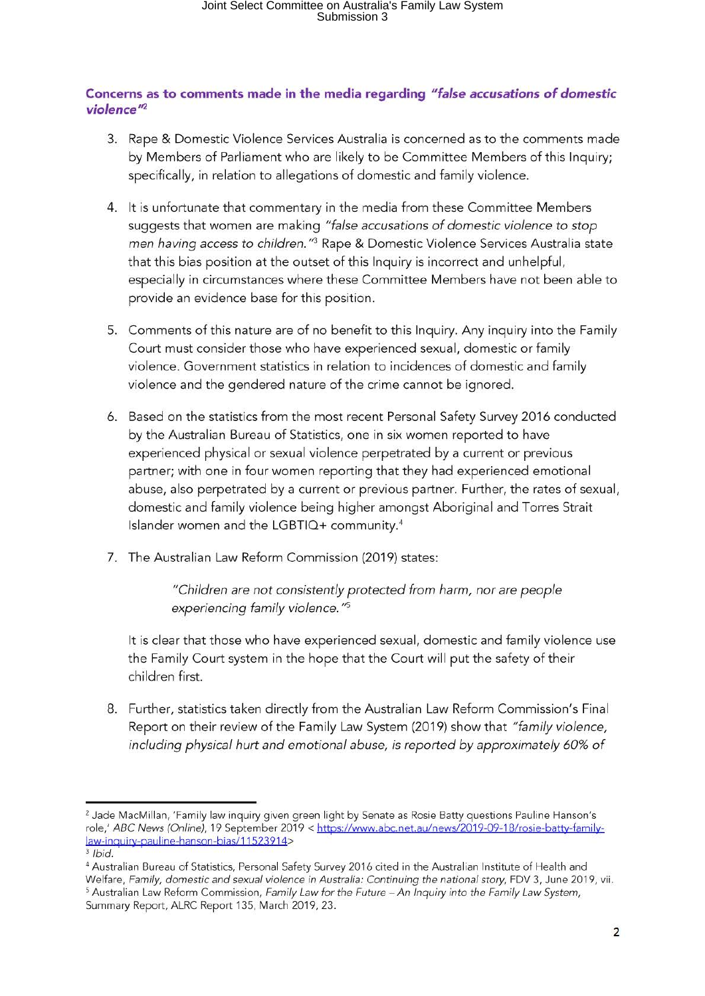### **Concerns as to comments made in the media regarding** *"false accusations of domestic*  violence<sup>"2</sup>

- 3. Rape & Domestic Violence Services Australia is concerned as to the comments made by Members of Parliament who are likely to be Committee Members of this Inquiry; specifically, in relation to allegations of domestic and family violence.
- 4. It is unfortunate that commentary in the media from these Committee Members suggests that women are making *"false accusations of domestic violence to* stop *men having access to children.*"<sup>3</sup> Rape & Domestic Violence Services Australia state that this bias position at the outset of this Inquiry is incorrect and unhelpful, especially in circumstances where these Committee Members have not been able to provide an evidence base for this position.
- 5. Comments of this nature are of no benefit to this Inquiry. Any inquiry into the Family Court must consider those who have experienced sexual, domestic or family violence. Government statistics in relation to incidences of domestic and family violence and the gendered nature of the crime cannot be ignored.
- 6. Based on the statistics from the most recent Personal Safety Survey 2016 conducted by the Australian Bureau of Statistics, one in six women reported to have experienced physical or sexual violence perpetrated by a current or previous partner; with one in four women reporting that they had experienced emotional abuse, also perpetrated by a current or previous partner. Further, the rates of sexual, domestic and family violence being higher amongst Aboriginal and Torres Strait Islander women and the LGBTIO+ community.4
- 7. The Australian Law Reform Commission (2019) states:

*"Children are not consistently protected from harm, nor are people*  experiencing family violence.<sup>"5</sup>

It is clear that those who have experienced sexual, domestic and family violence use the Family Court system in the hope that the Court will put the safety of their children first.

8. Further, statistics taken directly from the Australian Law Reform Commission's Final Report on their review of the Family Law System (2019) show that *"family violence, including physical hurt and emotional abuse,* is *reported by approximately 60% of* 

<sup>2</sup> Jade MacMillan, 'Family law inquiry given green light by Senate as Rosie Batty questions Pauline Hanson's role,' *ABC News (Online)*, 19 September 2019 < https://www.abc.net.au/news/2019-09-18/rosie-batty-familylaw-inquiry-pauline-hanson-bias/ 11523914><br><sup>3</sup> *Ibid.* 

<sup>&</sup>lt;sup>4</sup> Australian Bureau of Statistics, Personal Safety Survey 2016 cited in the Australian Institute of Health and Welfare, Family, domestic and sexual violence in Australia: Continuing the national story, FDV 3, June 2019, vii.<br><sup>5</sup> Australian Law Reform Commission, Family Law for the Future – An Inquiry into the Family Law System, Summary Report, ALRC Report 135, March 2019, 23.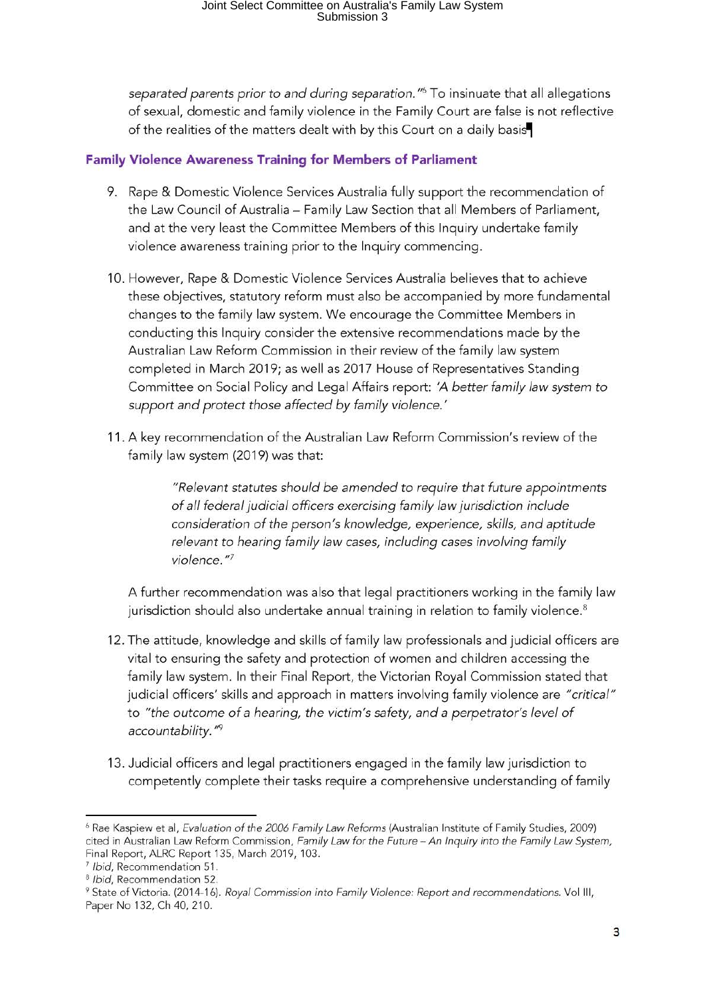separated parents prior to and during separation.<sup>"6</sup> To insinuate that all allegations of sexual, domestic and family violence in the Family Court are false is not reflective of the realities of the matters dealt with by this Court on a daily basis

### **Family Violence Awareness Training for Members of Parliament**

- 9. Rape & Domestic Violence Services Australia fully support the recommendation of the Law Council of Australia - Family Law Section that all Members of Parliament, and at the very least the Committee Members of this Inquiry undertake family violence awareness training prior to the Inquiry commencing.
- 10. However, Rape & Domestic Violence Services Australia believes that to achieve these objectives, statutory reform must also be accompanied by more fundamental changes to the family law system. We encourage the Committee Members in conducting this Inquiry consider the extensive recommendations made by the Australian Law Reform Commission in their review of the family law system completed in March 2019; as well as 2017 House of Representatives Standing Committee on Social Policy and Legal Affairs report: *'A better family law* system *to support and protect those affected by family violence.'*
- 11. A key recommendation of the Australian Law Reform Commission's review of the family law system (2019) was that:

*"Relevant* statutes *should be amended to require that future appointments of all federal judicial officers exercising family law jurisdiction include consideration of the person's knowledge, experience, skills, and aptitude relevant to hearing family law* cases, *including* cases *involving family violence.* "<sup>7</sup>

A further recommendation was also that legal practitioners working in the family law jurisdiction should also undertake annual training in relation to family violence.<sup>8</sup>

- 12. The attitude, knowledge and skills of family law professionals and judicial officers are vital to ensuring the safety and protection of women and children accessing the family law system. In their Final Report, the Victorian Royal Commission stated that judicial officers' skills and approach in matters involving family violence are *"critical"*  to *"the outcome of a hearing, the victim's safety, and a perpetrator's level of accountability. '* 19
- 13. Judicial officers and legal practitioners engaged in the family law jurisdiction to competently complete their tasks require a comprehensive understanding of family

<sup>6</sup> Rae Kaspiew et al, Evaluation of the 2006 Family Law Reforms (Australian Institute of Family Studies, 2009) cited in Australian Law Reform Commission, Family Law for the Future - An Inquiry into the Family Law System, Final Report, ALRC Report 135, March 2019, 103.<br><sup>7</sup> Ibid, Recommendation 51.<br><sup>8</sup> Ibid, Recommendation 52. 8 State of Victoria. (2014-16). Royal Commission into Family Violence: Report and recommendations. Vol III,

Paper No 132, Ch 40, 210.